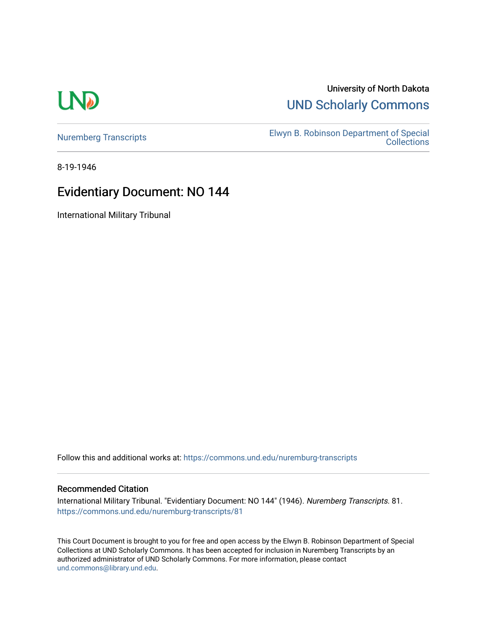# **LND**

### University of North Dakota [UND Scholarly Commons](https://commons.und.edu/)

[Nuremberg Transcripts](https://commons.und.edu/nuremburg-transcripts) [Elwyn B. Robinson Department of Special](https://commons.und.edu/archives)  [Collections](https://commons.und.edu/archives) 

8-19-1946

## Evidentiary Document: NO 144

International Military Tribunal

Follow this and additional works at: [https://commons.und.edu/nuremburg-transcripts](https://commons.und.edu/nuremburg-transcripts?utm_source=commons.und.edu%2Fnuremburg-transcripts%2F81&utm_medium=PDF&utm_campaign=PDFCoverPages)

#### Recommended Citation

International Military Tribunal. "Evidentiary Document: NO 144" (1946). Nuremberg Transcripts. 81. [https://commons.und.edu/nuremburg-transcripts/81](https://commons.und.edu/nuremburg-transcripts/81?utm_source=commons.und.edu%2Fnuremburg-transcripts%2F81&utm_medium=PDF&utm_campaign=PDFCoverPages) 

This Court Document is brought to you for free and open access by the Elwyn B. Robinson Department of Special Collections at UND Scholarly Commons. It has been accepted for inclusion in Nuremberg Transcripts by an authorized administrator of UND Scholarly Commons. For more information, please contact [und.commons@library.und.edu](mailto:und.commons@library.und.edu).